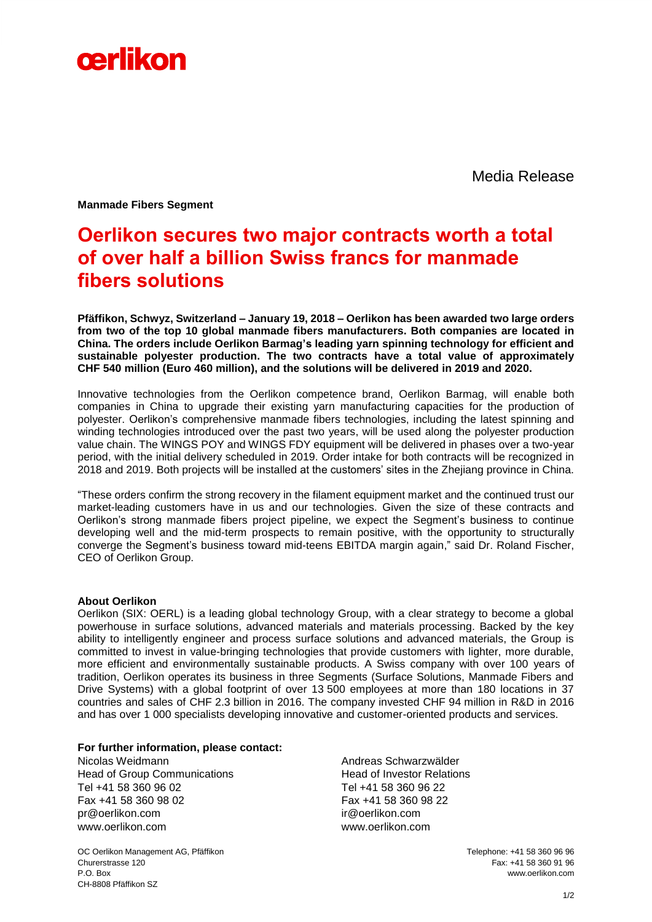

Media Release

**Manmade Fibers Segment**

## **Oerlikon secures two major contracts worth a total of over half a billion Swiss francs for manmade fibers solutions**

**Pfäffikon, Schwyz, Switzerland – January 19, 2018 – Oerlikon has been awarded two large orders from two of the top 10 global manmade fibers manufacturers. Both companies are located in China. The orders include Oerlikon Barmag's leading yarn spinning technology for efficient and sustainable polyester production. The two contracts have a total value of approximately CHF 540 million (Euro 460 million), and the solutions will be delivered in 2019 and 2020.**

Innovative technologies from the Oerlikon competence brand, Oerlikon Barmag, will enable both companies in China to upgrade their existing yarn manufacturing capacities for the production of polyester. Oerlikon's comprehensive manmade fibers technologies, including the latest spinning and winding technologies introduced over the past two years, will be used along the polyester production value chain. The WINGS POY and WINGS FDY equipment will be delivered in phases over a two-year period, with the initial delivery scheduled in 2019. Order intake for both contracts will be recognized in 2018 and 2019. Both projects will be installed at the customers' sites in the Zhejiang province in China.

"These orders confirm the strong recovery in the filament equipment market and the continued trust our market-leading customers have in us and our technologies. Given the size of these contracts and Oerlikon's strong manmade fibers project pipeline, we expect the Segment's business to continue developing well and the mid-term prospects to remain positive, with the opportunity to structurally converge the Segment's business toward mid-teens EBITDA margin again," said Dr. Roland Fischer, CEO of Oerlikon Group.

## **About Oerlikon**

Oerlikon (SIX: OERL) is a leading global technology Group, with a clear strategy to become a global powerhouse in surface solutions, advanced materials and materials processing. Backed by the key ability to intelligently engineer and process surface solutions and advanced materials, the Group is committed to invest in value-bringing technologies that provide customers with lighter, more durable, more efficient and environmentally sustainable products. A Swiss company with over 100 years of tradition, Oerlikon operates its business in three Segments (Surface Solutions, Manmade Fibers and Drive Systems) with a global footprint of over 13 500 employees at more than 180 locations in 37 countries and sales of CHF 2.3 billion in 2016. The company invested CHF 94 million in R&D in 2016 and has over 1 000 specialists developing innovative and customer-oriented products and services.

## **For further information, please contact:**

Nicolas Weidmann Head of Group Communications Tel +41 58 360 96 02 Fax +41 58 360 98 02 pr@oerlikon.com [www.oerlikon.com](http://www.oerlikon.com/)

Andreas Schwarzwälder Head of Investor Relations Tel +41 58 360 96 22 Fax +41 58 360 98 22 ir@oerlikon.com [www.oerlikon.com](http://www.oerlikon.com/)

OC Oerlikon Management AG, Pfäffikon Telephone: +41 58 360 96 96 Churerstrasse 120 Fax: +41 58 360 91 96 P.O. Box www.oerlikon.com CH-8808 Pfäffikon SZ